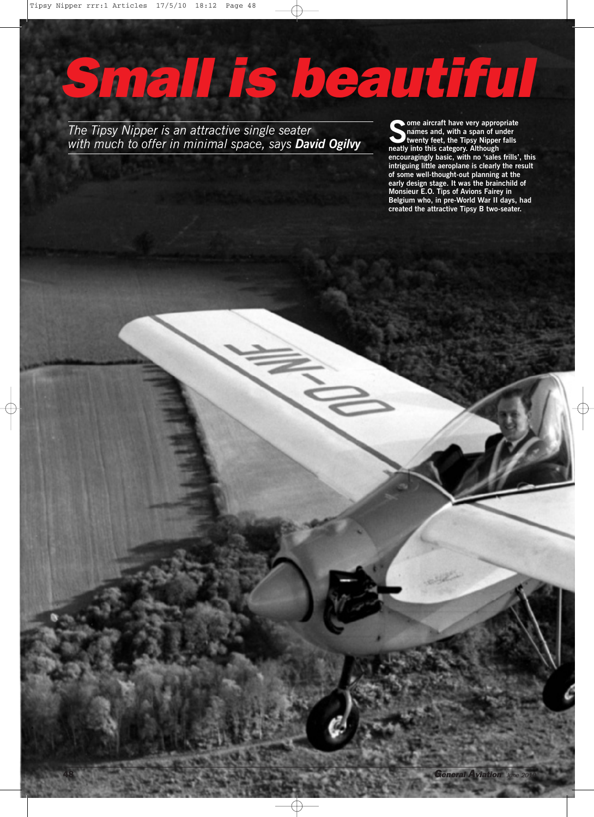## *Small is beautiful*

*The Tipsy Nipper is an attractive single seater with much to offer in minimal space, says David Ogilvy* **Some** aircraft have very appropriate<br>twenty feet, the Tipsy Nipper falls<br>neatly into this category. Although **names and, with a span of under twenty feet, the Tipsy Nipper falls neatly into this category. Although encouragingly basic, with no 'sales frills', this intriguing little aeroplane is clearly the result of some well-thought-out planning at the early design stage. It was the brainchild of Monsieur E.O. Tips of Avions Fairey in Belgium who, in pre-World War II days, had created the attractive Tipsy B two-seater.**

**48** *General Aviation June <sup>2010</sup>*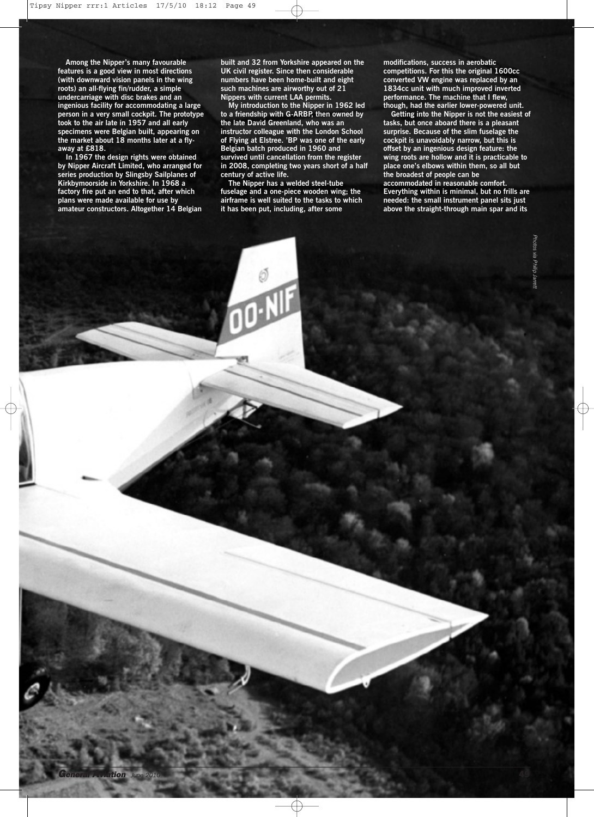**Among the Nipper's many favourable features is a good view in most directions (with downward vision panels in the wing roots) an all-flying fin/rudder, a simple undercarriage with disc brakes and an ingenious facility for accommodating a large person in a very small cockpit. The prototype took to the air late in 1957 and all early specimens were Belgian built, appearing on the market about 18 months later at a flyaway at £818.**

**In 1967 the design rights were obtained by Nipper Aircraft Limited, who arranged for series production by Slingsby Sailplanes of Kirkbymoorside in Yorkshire. In 1968 a factory fire put an end to that, after which plans were made available for use by amateur constructors. Altogether 14 Belgian**

**built and 32 from Yorkshire appeared on the UK civil register. Since then considerable numbers have been home-built and eight such machines are airworthy out of 21 Nippers with current LAA permits.**

**My introduction to the Nipper in 1962 led to a friendship with G-ARBP, then owned by the late David Greenland, who was an instructor colleague with the London School of Flying at Elstree. 'BP was one of the early Belgian batch produced in 1960 and survived until cancellation from the register in 2008, completing two years short of a half century of active life.**

**The Nipper has a welded steel-tube fuselage and a one-piece wooden wing; the airframe is well suited to the tasks to which it has been put, including, after some**

*General Aviation June <sup>2010</sup>* **49**

**modifications, success in aerobatic competitions. For this the original 1600cc converted VW engine was replaced by an 1834cc unit with much improved inverted performance. The machine that I flew, though, had the earlier lower-powered unit.**

**Getting into the Nipper is not the easiest of tasks, but once aboard there is a pleasant surprise. Because of the slim fuselage the cockpit is unavoidably narrow, but this is offset by an ingenious design feature: the wing roots are hollow and it is practicable to place one's elbows within them, so all but the broadest of people can be**

**accommodated in reasonable comfort. Everything within is minimal, but no frills are needed: the small instrument panel sits just above the straight-through main spar and its**

> *Photos via Philip Jarrett*